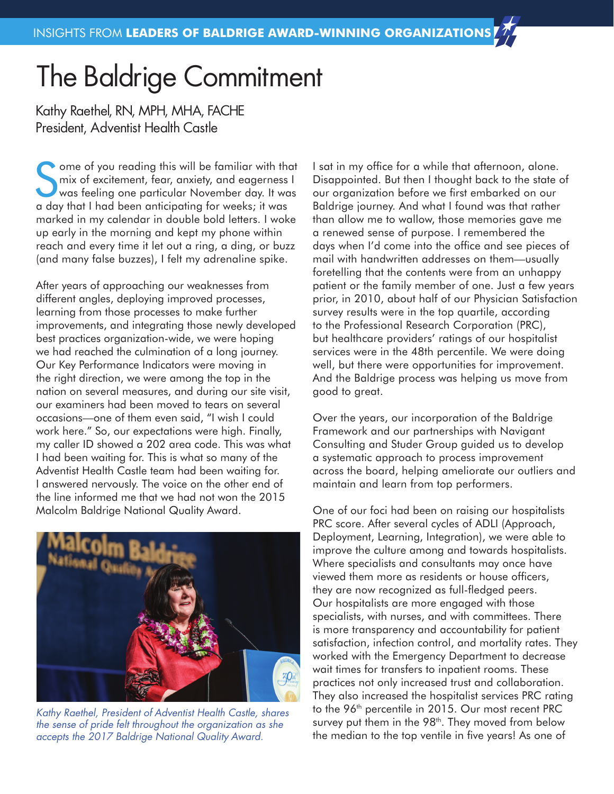## The Baldrige Commitment

Kathy Raethel, RN, MPH, MHA, FACHE President, Adventist Health Castle

Some of you reading this will be familiar with the mix of excitement, fear, anxiety, and eagerness was feeling one particular November day. It was a day that I had been anticipating for weeks; it was ome of you reading this will be familiar with that mix of excitement, fear, anxiety, and eagerness I was feeling one particular November day. It was marked in my calendar in double bold letters. I woke up early in the morning and kept my phone within reach and every time it let out a ring, a ding, or buzz (and many false buzzes), I felt my adrenaline spike.

After years of approaching our weaknesses from different angles, deploying improved processes, learning from those processes to make further improvements, and integrating those newly developed best practices organization-wide, we were hoping we had reached the culmination of a long journey. Our Key Performance Indicators were moving in the right direction, we were among the top in the nation on several measures, and during our site visit, our examiners had been moved to tears on several occasions—one of them even said, "I wish I could work here." So, our expectations were high. Finally, my caller ID showed a 202 area code. This was what I had been waiting for. This is what so many of the Adventist Health Castle team had been waiting for. I answered nervously. The voice on the other end of the line informed me that we had not won the 2015 Malcolm Baldrige National Quality Award.



*Kathy Raethel, President of Adventist Health Castle, shares the sense of pride felt throughout the organization as she accepts the 2017 Baldrige National Quality Award.*

I sat in my office for a while that afternoon, alone. Disappointed. But then I thought back to the state of our organization before we first embarked on our Baldrige journey. And what I found was that rather than allow me to wallow, those memories gave me a renewed sense of purpose. I remembered the days when I'd come into the office and see pieces of mail with handwritten addresses on them—usually foretelling that the contents were from an unhappy patient or the family member of one. Just a few years prior, in 2010, about half of our Physician Satisfaction survey results were in the top quartile, according to the Professional Research Corporation (PRC), but healthcare providers' ratings of our hospitalist services were in the 48th percentile. We were doing well, but there were opportunities for improvement. And the Baldrige process was helping us move from good to great.

Over the years, our incorporation of the Baldrige Framework and our partnerships with Navigant Consulting and Studer Group guided us to develop a systematic approach to process improvement across the board, helping ameliorate our outliers and maintain and learn from top performers.

One of our foci had been on raising our hospitalists PRC score. After several cycles of ADLI (Approach, Deployment, Learning, Integration), we were able to improve the culture among and towards hospitalists. Where specialists and consultants may once have viewed them more as residents or house officers, they are now recognized as full-fledged peers. Our hospitalists are more engaged with those specialists, with nurses, and with committees. There is more transparency and accountability for patient satisfaction, infection control, and mortality rates. They worked with the Emergency Department to decrease wait times for transfers to inpatient rooms. These practices not only increased trust and collaboration. They also increased the hospitalist services PRC rating to the 96<sup>th</sup> percentile in 2015. Our most recent PRC survey put them in the 98<sup>th</sup>. They moved from below the median to the top ventile in five years! As one of